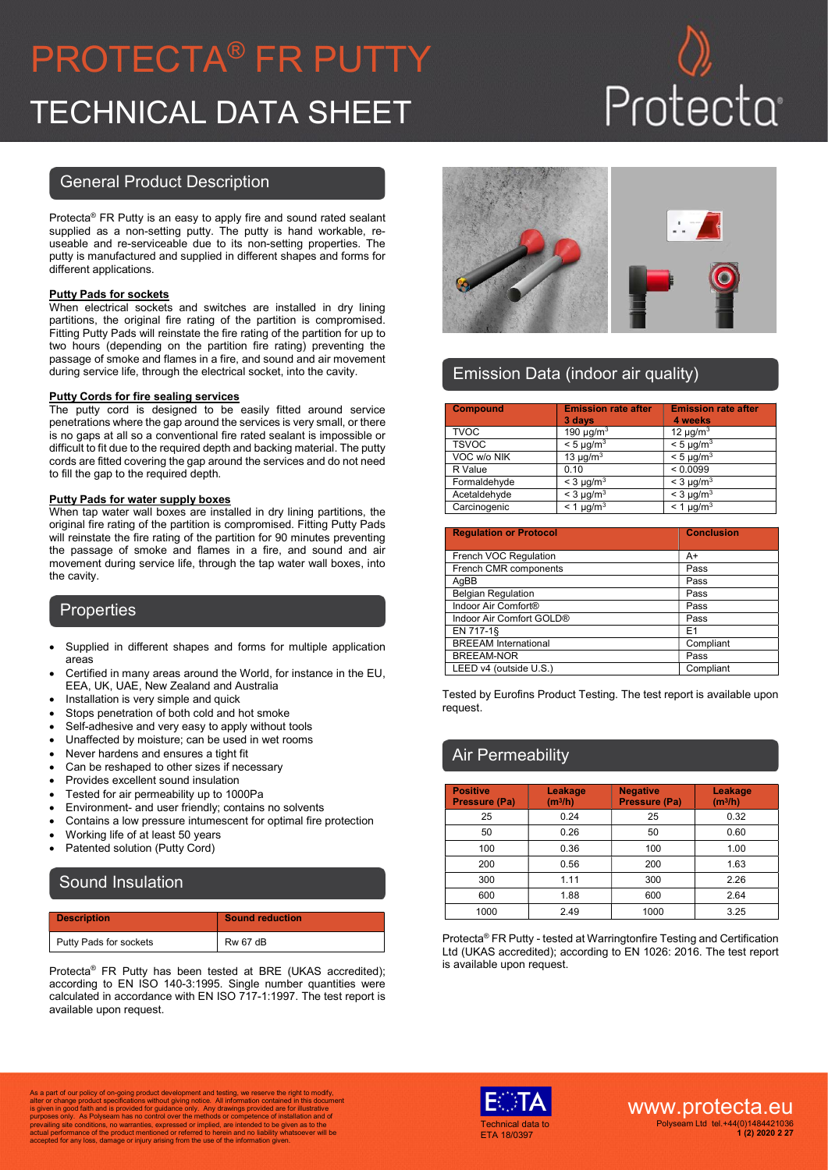# PROTECTA® FR PUTTY TECHNICAL DATA SHEET

### General Product Description

Protecta® FR Putty is an easy to apply fire and sound rated sealant supplied as a non-setting putty. The putty is hand workable, reuseable and re-serviceable due to its non-setting properties. The putty is manufactured and supplied in different shapes and forms for different applications.

#### Putty Pads for sockets

When electrical sockets and switches are installed in dry lining partitions, the original fire rating of the partition is compromised. Fitting Putty Pads will reinstate the fire rating of the partition for up to two hours (depending on the partition fire rating) preventing the passage of smoke and flames in a fire, and sound and air movement during service life, through the electrical socket, into the cavity.

#### Putty Cords for fire sealing services

The putty cord is designed to be easily fitted around service penetrations where the gap around the services is very small, or there is no gaps at all so a conventional fire rated sealant is impossible or difficult to fit due to the required depth and backing material. The putty cords are fitted covering the gap around the services and do not need to fill the gap to the required depth.

#### Putty Pads for water supply boxes

When tap water wall boxes are installed in dry lining partitions, the original fire rating of the partition is compromised. Fitting Putty Pads will reinstate the fire rating of the partition for 90 minutes preventing the passage of smoke and flames in a fire, and sound and air movement during service life, through the tap water wall boxes, into the cavity.

### **Properties**

- Supplied in different shapes and forms for multiple application areas
- Certified in many areas around the World, for instance in the EU, EEA, UK, UAE, New Zealand and Australia
- Installation is very simple and quick
- Stops penetration of both cold and hot smoke
- Self-adhesive and very easy to apply without tools
- Unaffected by moisture; can be used in wet rooms
- Never hardens and ensures a tight fit
- Can be reshaped to other sizes if necessary
- Provides excellent sound insulation
- Tested for air permeability up to 1000Pa
- Environment- and user friendly; contains no solvents
- Contains a low pressure intumescent for optimal fire protection
- Working life of at least 50 years
- Patented solution (Putty Cord)

# Sound Insulation

| <b>Description</b>     | <b>Sound reduction</b> |
|------------------------|------------------------|
| Putty Pads for sockets | <b>Rw 67 dB</b>        |

Protecta® FR Putty has been tested at BRE (UKAS accredited); according to EN ISO 140-3:1995. Single number quantities were calculated in accordance with EN ISO 717-1:1997. The test report is available upon request.



# Emission Data (indoor air quality)

| <b>Compound</b> | <b>Emission rate after</b><br>3 days | <b>Emission rate after</b><br>4 weeks |
|-----------------|--------------------------------------|---------------------------------------|
| <b>TVOC</b>     | 190 $\mu$ g/m <sup>3</sup>           | 12 $\mu$ g/m <sup>3</sup>             |
| <b>TSVOC</b>    | $< 5 \mu q/m^3$                      | $< 5 \mu q/m^3$                       |
| VOC w/o NIK     | 13 $\mu$ g/m <sup>3</sup>            | $< 5 \mu q/m^3$                       |
| R Value         | 0.10                                 | < 0.0099                              |
| Formaldehyde    | $<$ 3 µg/m <sup>3</sup>              | $<$ 3 µg/m <sup>3</sup>               |
| Acetaldehyde    | $<$ 3 µg/m <sup>3</sup>              | $<$ 3 µg/m <sup>3</sup>               |
| Carcinogenic    | $<$ 1 µg/m <sup>3</sup>              | $<$ 1 µg/m <sup>3</sup>               |

| <b>Regulation or Protocol</b> | <b>Conclusion</b> |
|-------------------------------|-------------------|
|                               |                   |
| French VOC Regulation         | A+                |
| French CMR components         | Pass              |
| AqBB                          | Pass              |
| <b>Belgian Regulation</b>     | Pass              |
| Indoor Air Comfort®           | Pass              |
| Indoor Air Comfort GOLD®      | Pass              |
| EN 717-1§                     | E1                |
| <b>BREEAM</b> International   | Compliant         |
| <b>BREEAM-NOR</b>             | Pass              |
| LEED v4 (outside U.S.)        | Compliant         |

Tested by Eurofins Product Testing. The test report is available upon request.

# Air Permeability

| <b>Positive</b><br>Pressure (Pa) | Leakage<br>$(m^3/h)$ | <b>Negative</b><br><b>Pressure (Pa)</b> | Leakage<br>$(m^3/h)$ |
|----------------------------------|----------------------|-----------------------------------------|----------------------|
| 25                               | 0.24                 | 25                                      | 0.32                 |
| 50                               | 0.26                 | 50                                      | 0.60                 |
| 100                              | 0.36                 | 100                                     | 1.00                 |
| 200                              | 0.56                 | 200                                     | 1.63                 |
| 300                              | 1.11                 | 300                                     | 2.26                 |
| 600                              | 1.88                 | 600                                     | 2.64                 |
| 1000                             | 2.49                 | 1000                                    | 3.25                 |

Protecta® FR Putty - tested at Warringtonfire Testing and Certification Ltd (UKAS accredited); according to EN 1026: 2016. The test report is available upon request.

As a part of our policy of on-going product development and testing, we reserve the right to modify,<br>alter or change product specifications without giving notice. All information contained in this document<br>is given in good prevailing site conditions, no warranties, expressed or implied, are intended to be given as to the actual performance of the product mentioned or referred to herein and no liability whatsoever will be accepted for any loss, damage or injury arising from the use of the information given.